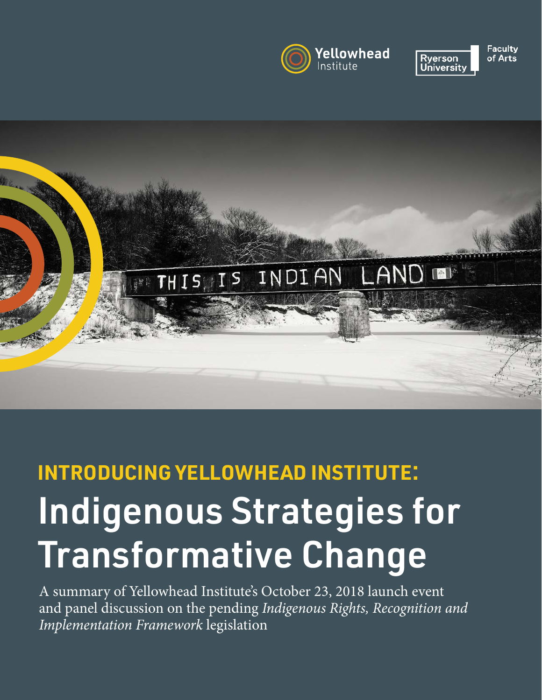



**Faculty** of Arts



# Indigenous Strategies for Transformative Change **INTRODUCING YELLOWHEAD INSTITUTE**:

A summary of Yellowhead Institute's October 23, 2018 launch event and panel discussion on the pending Indigenous Rights, Recognition and Implementation Framework legislation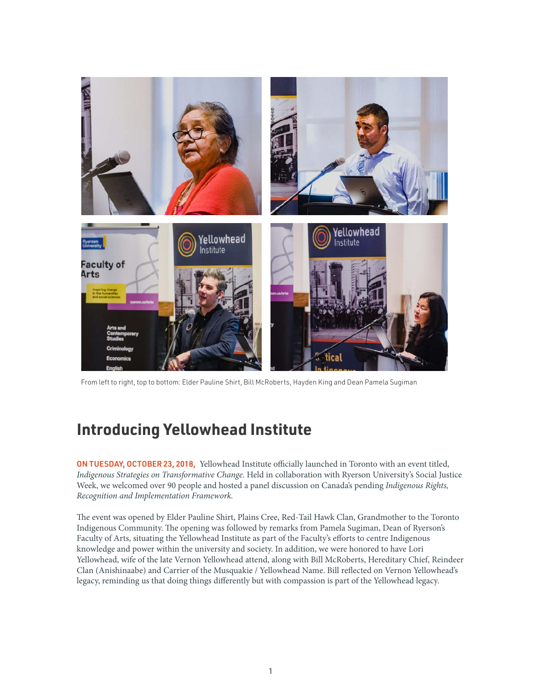

From left to right, top to bottom: Elder Pauline Shirt, Bill McRoberts, Hayden King and Dean Pamela Sugiman

### **Introducing Yellowhead Institute**

ON TUESDAY, OCTOBER 23, 2018, Yellowhead Institute officially launched in Toronto with an event titled, Indigenous Strategies on Transformative Change. Held in collaboration with Ryerson University's Social Justice Week, we welcomed over 90 people and hosted a panel discussion on Canada's pending Indigenous Rights, Recognition and Implementation Framework.

The event was opened by Elder Pauline Shirt, Plains Cree, Red-Tail Hawk Clan, Grandmother to the Toronto Indigenous Community. The opening was followed by remarks from Pamela Sugiman, Dean of Ryerson's Faculty of Arts, situating the Yellowhead Institute as part of the Faculty's efforts to centre Indigenous knowledge and power within the university and society. In addition, we were honored to have Lori Yellowhead, wife of the late Vernon Yellowhead attend, along with Bill McRoberts, Hereditary Chief, Reindeer Clan (Anishinaabe) and Carrier of the Musquakie / Yellowhead Name. Bill reflected on Vernon Yellowhead's legacy, reminding us that doing things differently but with compassion is part of the Yellowhead legacy.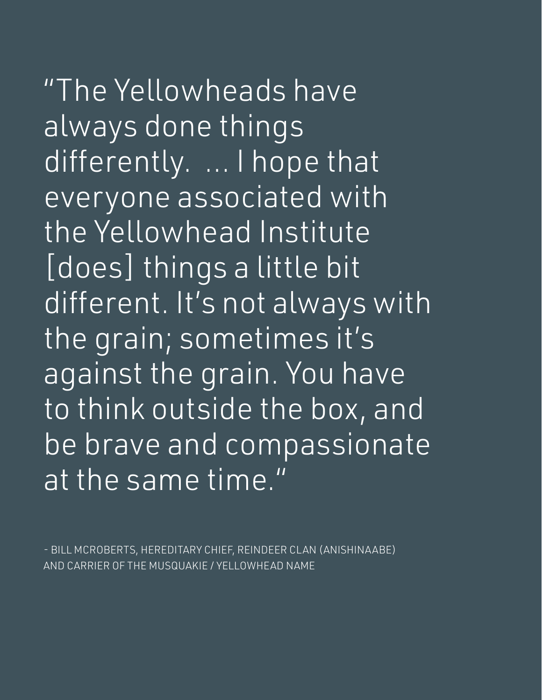"The Yellowheads have always done things differently. ... I hope that everyone associated with the Yellowhead Institute [does] things a little bit different. It's not always with the grain; sometimes it's against the grain. You have to think outside the box, and be brave and compassionate at the same time."

- BILL MCROBERTS, HEREDITARY CHIEF, REINDEER CLAN (ANISHINAABE) AND CARRIER OF THE MUSQUAKIE / YELLOWHEAD NAME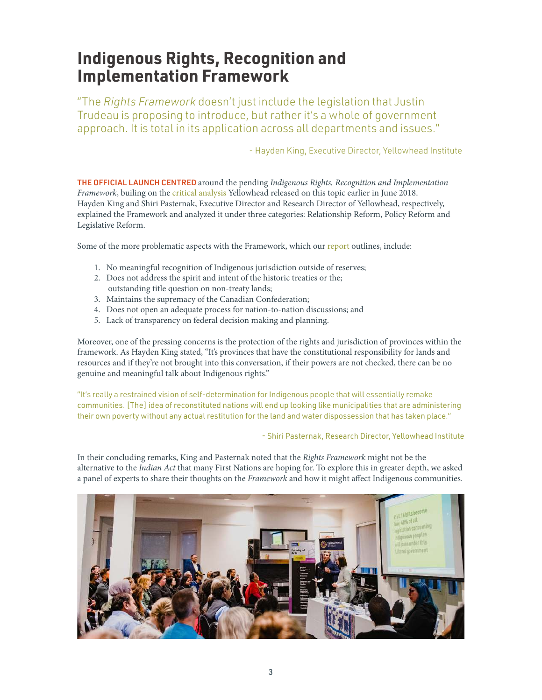## **Indigenous Rights, Recognition and Implementation Framework**

"The *Rights Framework* doesn't just include the legislation that Justin Trudeau is proposing to introduce, but rather it's a whole of government approach. It is total in its application across all departments and issues."

- Hayden King, Executive Director, Yellowhead Institute

THE OFFICIAL LAUNCH CENTRED around the pending Indigenous Rights, Recognition and Implementation Framework, builing on the [critical analysis](https://yellowheadinstitute.org/rightsframework/) Yellowhead released on this topic earlier in June 2018. Hayden King and Shiri Pasternak, Executive Director and Research Director of Yellowhead, respectively, explained the Framework and analyzed it under three categories: Relationship Reform, Policy Reform and Legislative Reform.

Some of the more problematic aspects with the Framework, which our [report](https://yellowheadinstitute.org/rightsframework/) outlines, include:

- 1. No meaningful recognition of Indigenous jurisdiction outside of reserves;
- 2. Does not address the spirit and intent of the historic treaties or the; outstanding title question on non-treaty lands;
- 3. Maintains the supremacy of the Canadian Confederation;
- 4. Does not open an adequate process for nation-to-nation discussions; and
- 5. Lack of transparency on federal decision making and planning.

Moreover, one of the pressing concerns is the protection of the rights and jurisdiction of provinces within the framework. As Hayden King stated, "It's provinces that have the constitutional responsibility for lands and resources and if they're not brought into this conversation, if their powers are not checked, there can be no genuine and meaningful talk about Indigenous rights."

"It's really a restrained vision of self-determination for Indigenous people that will essentially remake communities. [The] idea of reconstituted nations will end up looking like municipalities that are administering their own poverty without any actual restitution for the land and water dispossession that has taken place."

- Shiri Pasternak, Research Director, Yellowhead Institute

In their concluding remarks, King and Pasternak noted that the Rights Framework might not be the alternative to the Indian Act that many First Nations are hoping for. To explore this in greater depth, we asked a panel of experts to share their thoughts on the Framework and how it might affect Indigenous communities.

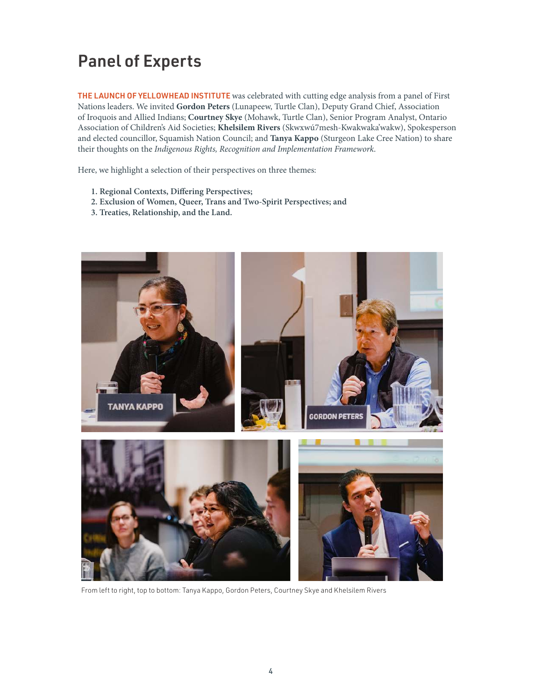# Panel of Experts

THE LAUNCH OF YELLOWHEAD INSTITUTE was celebrated with cutting edge analysis from a panel of First Nations leaders. We invited **Gordon Peters** (Lunapeew, Turtle Clan), Deputy Grand Chief, Association of Iroquois and Allied Indians; **Courtney Skye** (Mohawk, Turtle Clan), Senior Program Analyst, Ontario Association of Children's Aid Societies; **Khelsilem Rivers** (Skwxwú7mesh-Kwakwaka'wakw), Spokesperson and elected councillor, Squamish Nation Council; and **Tanya Kappo** (Sturgeon Lake Cree Nation) to share their thoughts on the Indigenous Rights, Recognition and Implementation Framework.

Here, we highlight a selection of their perspectives on three themes:

- **1. Regional Contexts, Differing Perspectives;**
- **2. Exclusion of Women, Queer, Trans and Two-Spirit Perspectives; and**
- **3. Treaties, Relationship, and the Land.**



From left to right, top to bottom: Tanya Kappo, Gordon Peters, Courtney Skye and Khelsilem Rivers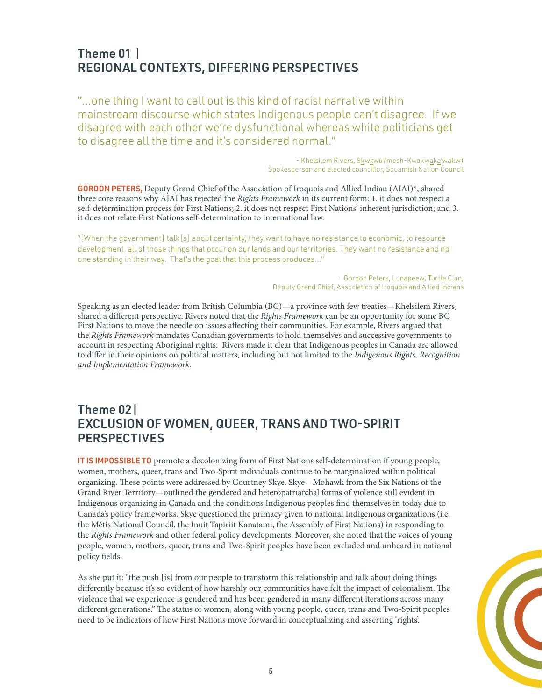#### Theme 01 | REGIONAL CONTEXTS, DIFFERING PERSPECTIVES

"...one thing I want to call out is this kind of racist narrative within mainstream discourse which states Indigenous people can't disagree. If we disagree with each other we're dysfunctional whereas white politicians get to disagree all the time and it's considered normal."

> - Khelsilem Rivers, Skwxwú7mesh-Kwakwaka'wakw) Spokesperson and elected councillor, Squamish Nation Council

GORDON PETERS, Deputy Grand Chief of the Association of Iroquois and Allied Indian (AIAI)\*, shared three core reasons why AIAI has rejected the Rights Framework in its current form: 1. it does not respect a self-determination process for First Nations; 2. it does not respect First Nations' inherent jurisdiction; and 3. it does not relate First Nations self-determination to international law.

"[When the government] talk[s] about certainty, they want to have no resistance to economic, to resource development, all of those things that occur on our lands and our territories. They want no resistance and no one standing in their way. That's the goal that this process produces…"

> - Gordon Peters, Lunapeew, Turtle Clan, Deputy Grand Chief, Association of Iroquois and Allied Indians

Speaking as an elected leader from British Columbia (BC)—a province with few treaties—Khelsilem Rivers, shared a different perspective. Rivers noted that the Rights Framework can be an opportunity for some BC First Nations to move the needle on issues affecting their communities. For example, Rivers argued that the Rights Framework mandates Canadian governments to hold themselves and successive governments to account in respecting Aboriginal rights. Rivers made it clear that Indigenous peoples in Canada are allowed to differ in their opinions on political matters, including but not limited to the Indigenous Rights, Recognition and Implementation Framework.

#### Theme 02| EXCLUSION OF WOMEN, QUEER, TRANS AND TWO-SPIRIT PERSPECTIVES

IT IS IMPOSSIBLE TO promote a decolonizing form of First Nations self-determination if young people, women, mothers, queer, trans and Two-Spirit individuals continue to be marginalized within political organizing. These points were addressed by Courtney Skye. Skye—Mohawk from the Six Nations of the Grand River Territory—outlined the gendered and heteropatriarchal forms of violence still evident in Indigenous organizing in Canada and the conditions Indigenous peoples find themselves in today due to Canada's policy frameworks. Skye questioned the primacy given to national Indigenous organizations (i.e. the Métis National Council, the Inuit Tapiriit Kanatami, the Assembly of First Nations) in responding to the Rights Framework and other federal policy developments. Moreover, she noted that the voices of young people, women, mothers, queer, trans and Two-Spirit peoples have been excluded and unheard in national policy fields.

As she put it: "the push [is] from our people to transform this relationship and talk about doing things differently because it's so evident of how harshly our communities have felt the impact of colonialism. The violence that we experience is gendered and has been gendered in many different iterations across many different generations." The status of women, along with young people, queer, trans and Two-Spirit peoples need to be indicators of how First Nations move forward in conceptualizing and asserting 'rights'.

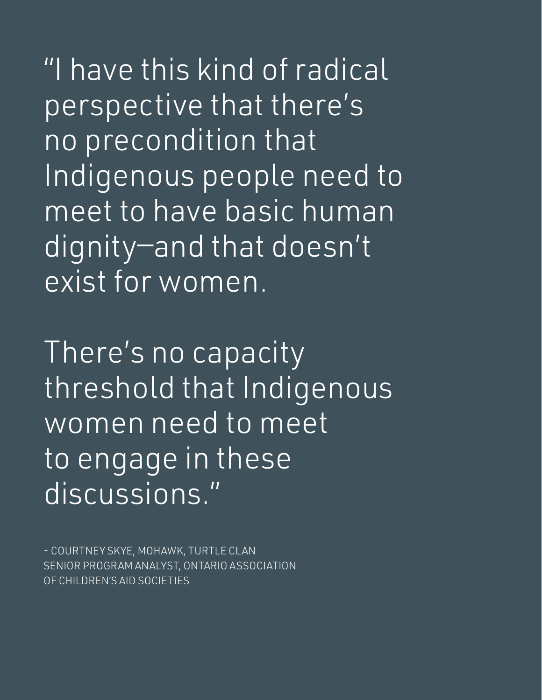"I have this kind of radical perspective that there's no precondition that Indigenous people need to meet to have basic human dignity—and that doesn't exist for women.

There's no capacity threshold that Indigenous women need to meet to engage in these discussions."

- COURTNEY SKYE, MOHAWK, TURTLE CLAN SENIOR PROGRAM ANALYST, ONTARIO ASSOCIATION OF CHILDREN'S AID SOCIETIES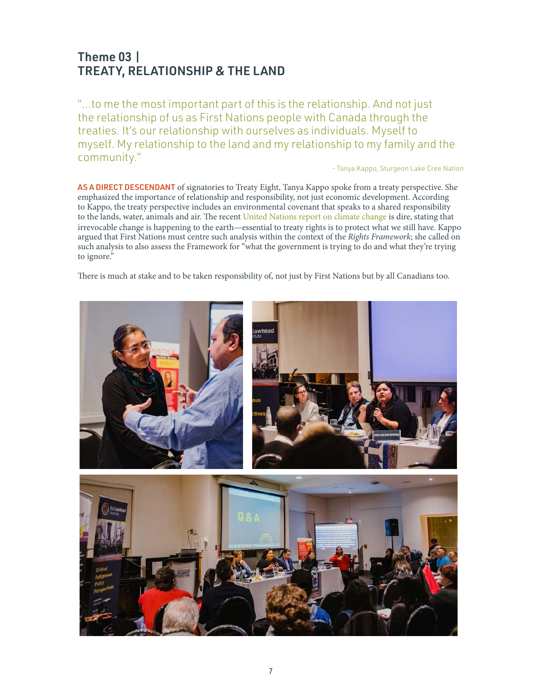#### Theme 03 | TREATY, RELATIONSHIP & THE LAND

"...to me the most important part of this is the relationship. And not just the relationship of us as First Nations people with Canada through the treaties. It's our relationship with ourselves as individuals. Myself to myself. My relationship to the land and my relationship to my family and the community."

- Tanya Kappo, Sturgeon Lake Cree Nation

AS A DIRECT DESCENDANT of signatories to Treaty Eight, Tanya Kappo spoke from a treaty perspective. She emphasized the importance of relationship and responsibility, not just economic development. According to Kappo, the treaty perspective includes an environmental covenant that speaks to a shared responsibility to the lands, water, animals and air. The recent [United Nations report on climate change](http://www.un.org/en/sections/issues-depth/climate-change/) is dire, stating that irrevocable change is happening to the earth—essential to treaty rights is to protect what we still have. Kappo argued that First Nations must centre such analysis within the context of the Rights Framework; she called on such analysis to also assess the Framework for "what the government is trying to do and what they're trying to ignore."

There is much at stake and to be taken responsibility of, not just by First Nations but by all Canadians too.

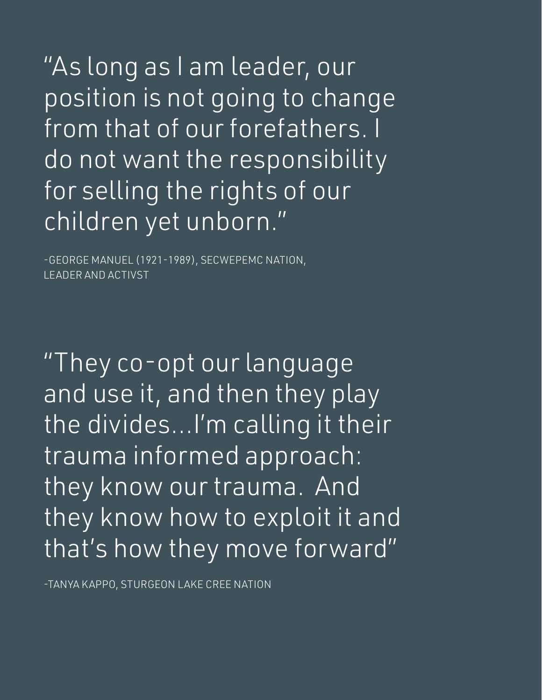"As long as I am leader, our position is not going to change from that of our forefathers. I do not want the responsibility for selling the rights of our children yet unborn."

-GEORGE MANUEL (1921-1989), SECWEPEMC NATION, LEADER AND ACTIVST

"They co-opt our language and use it, and then they play the divides...I'm calling it their trauma informed approach: they know our trauma. And they know how to exploit it and that's how they move forward"

-TANYA KAPPO, STURGEON LAKE CREE NATION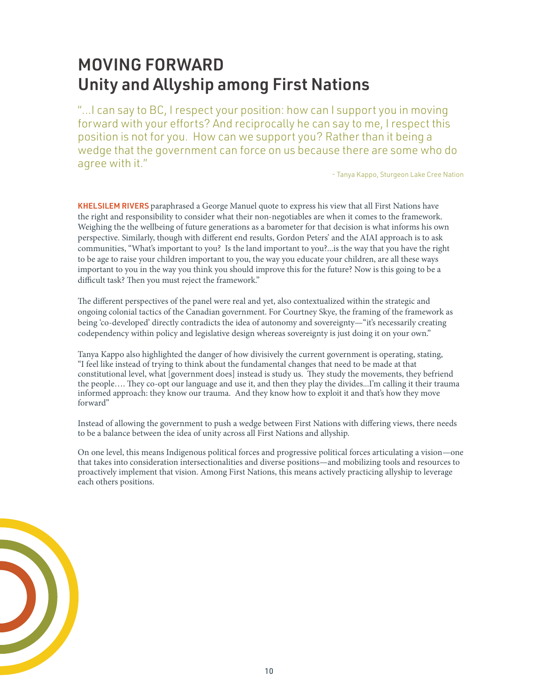# MOVING FORWARD Unity and Allyship among First Nations

"...I can say to BC, I respect your position: how can I support you in moving forward with your efforts? And reciprocally he can say to me, I respect this position is not for you. How can we support you? Rather than it being a wedge that the government can force on us because there are some who do agree with it."

- Tanya Kappo, Sturgeon Lake Cree Nation

KHELSILEM RIVERS paraphrased a George Manuel quote to express his view that all First Nations have the right and responsibility to consider what their non-negotiables are when it comes to the framework. Weighing the the wellbeing of future generations as a barometer for that decision is what informs his own perspective. Similarly, though with different end results, Gordon Peters' and the AIAI approach is to ask communities, "What's important to you? Is the land important to you?...is the way that you have the right to be age to raise your children important to you, the way you educate your children, are all these ways important to you in the way you think you should improve this for the future? Now is this going to be a difficult task? Then you must reject the framework."

The different perspectives of the panel were real and yet, also contextualized within the strategic and ongoing colonial tactics of the Canadian government. For Courtney Skye, the framing of the framework as being 'co-developed' directly contradicts the idea of autonomy and sovereignty—"it's necessarily creating codependency within policy and legislative design whereas sovereignty is just doing it on your own."

Tanya Kappo also highlighted the danger of how divisively the current government is operating, stating, "I feel like instead of trying to think about the fundamental changes that need to be made at that constitutional level, what [government does] instead is study us. They study the movements, they befriend the people…. They co-opt our language and use it, and then they play the divides...I'm calling it their trauma informed approach: they know our trauma. And they know how to exploit it and that's how they move forward"

Instead of allowing the government to push a wedge between First Nations with differing views, there needs to be a balance between the idea of unity across all First Nations and allyship.

On one level, this means Indigenous political forces and progressive political forces articulating a vision—one that takes into consideration intersectionalities and diverse positions—and mobilizing tools and resources to proactively implement that vision. Among First Nations, this means actively practicing allyship to leverage each others positions.

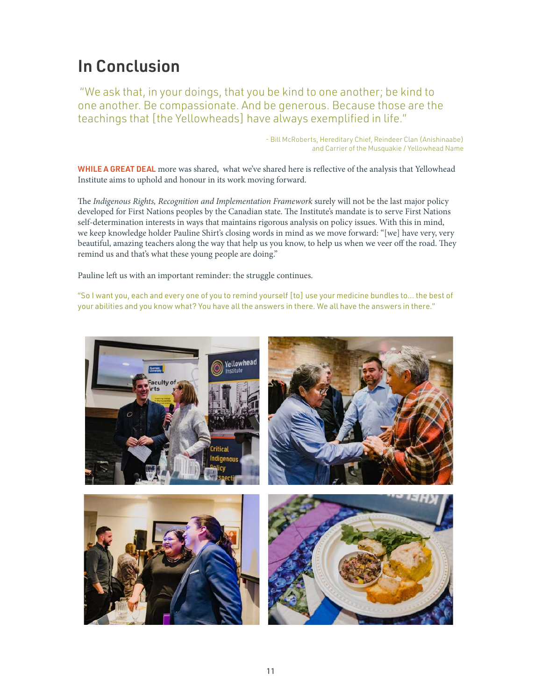## In Conclusion

 "We ask that, in your doings, that you be kind to one another; be kind to one another. Be compassionate. And be generous. Because those are the teachings that [the Yellowheads] have always exemplified in life."

> - Bill McRoberts, Hereditary Chief, Reindeer Clan (Anishinaabe) and Carrier of the Musquakie / Yellowhead Name

WHILE A GREAT DEAL more was shared, what we've shared here is reflective of the analysis that Yellowhead Institute aims to uphold and honour in its work moving forward.

The Indigenous Rights, Recognition and Implementation Framework surely will not be the last major policy developed for First Nations peoples by the Canadian state. The Institute's mandate is to serve First Nations self-determination interests in ways that maintains rigorous analysis on policy issues. With this in mind, we keep knowledge holder Pauline Shirt's closing words in mind as we move forward: "[we] have very, very beautiful, amazing teachers along the way that help us you know, to help us when we veer off the road. They remind us and that's what these young people are doing."

Pauline left us with an important reminder: the struggle continues.

"So I want you, each and every one of you to remind yourself [to] use your medicine bundles to... the best of your abilities and you know what? You have all the answers in there. We all have the answers in there."